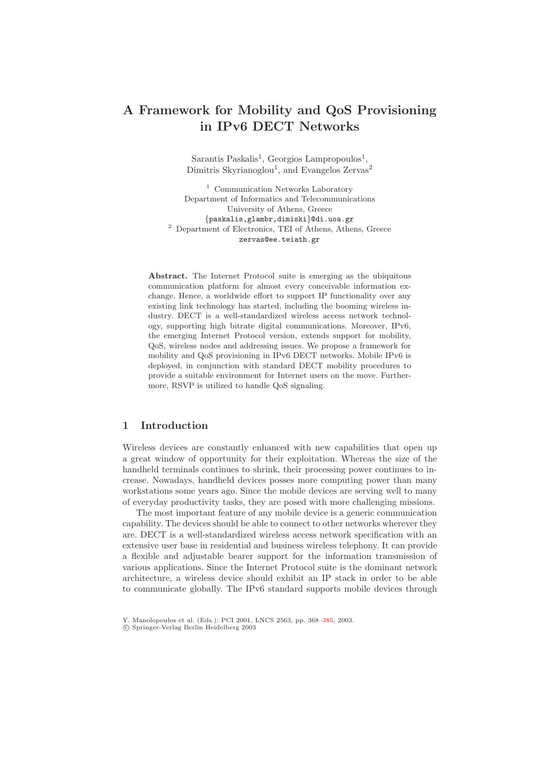# **A Framework for Mobility and QoS Provisioning in IPv6 DECT Networks**

Sarantis Paskalis<sup>1</sup>, Georgios Lampropoulos<sup>1</sup>, Dimitris Skyrianoglou<sup>1</sup>, and Evangelos Zervas<sup>2</sup>

<sup>1</sup> Communication Networks Laboratory Department of Informatics and Telecommunications University of Athens, Greece *{*paskalis,glambr,dimiski*}*@di.uoa.gr <sup>2</sup> Department of Electronics, TEI of Athens, Athens, Greece zervas@ee.teiath.gr

**Abstract.** The Internet Protocol suite is emerging as the ubiquitous communication platform for almost every conceivable information exchange. Hence, a worldwide effort to support IP functionality over any existing link technology has started, including the booming wireless industry. DECT is a well-standardized wireless access network technology, supporting high bitrate digital communications. Moreover, IPv6, the emerging Internet Protocol version, extends support for mobility, QoS, wireless nodes and addressing issues. We propose a framework for mobility and QoS provisioning in IPv6 DECT networks. Mobile IPv6 is deployed, in conjunction with standard DECT mobility procedures to provide a suitable environment for Internet users on the move. Furthermore, RSVP is utilized to handle QoS signaling.

# **1 Introduction**

Wireless devices are constantly enhanced with new capabilities that open up a great window of opportunity for their exploitation. Whereas the size of the handheld terminals continues to shrink, their processing power continues to increase. Nowadays, handheld devices posses more computing power than many workstations some years ago. Since the mobile devices are serving well to many of everyday productivity tasks, they are posed with more challenging missions.

The most important feature of any mobile device is a generic communication capability. The devices should be able to connect to other networks wherever they are. DECT is a well-standardized wireless access network specification with an extensive user base in residential and business wireless telephony. It can provide a flexible and adjustable bearer support for the information transmission of various applications. Since the Internet Protocol suite is the dominant network architecture, a wireless device should exhibit an IP stack in order to be able to communicate globally. The IPv6 standard supports mobile devices through

c Springer-Verlag Berlin Heidelberg 2003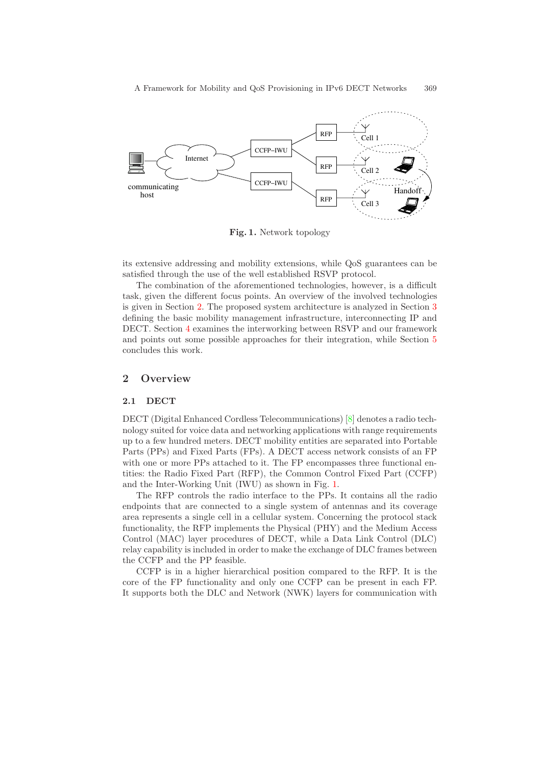<span id="page-1-3"></span><span id="page-1-2"></span><span id="page-1-1"></span>

**Fig. 1.** Network topology

its extensive addressing and mobility extensions, while QoS guarantees can be satisfied through the use of the well established RSVP protocol.

The combination of the aforementioned technologies, however, is a difficult task, given the different focus points. An overview of the involved technologies is given in Section [2.](#page-1-0) The proposed system architecture is analyzed in Section [3](#page-7-0) defining the basic mobility management infrastructure, interconnecting IP and DECT. Section [4](#page-13-0) examines the interworking between RSVP and our framework and points out some possible approaches for their integration, while Section [5](#page-15-0) concludes this work.

# <span id="page-1-0"></span>**2 Overview**

#### **2.1 DECT**

DECT (Digital Enhanced Cordless Telecommunications) [\[8\]](#page-16-0) denotes a radio technology suited for voice data and networking applications with range requirements up to a few hundred meters. DECT mobility entities are separated into Portable Parts (PPs) and Fixed Parts (FPs). A DECT access network consists of an FP with one or more PPs attached to it. The FP encompasses three functional entities: the Radio Fixed Part (RFP), the Common Control Fixed Part (CCFP) and the Inter-Working Unit (IWU) as shown in Fig. [1.](#page-1-1)

The RFP controls the radio interface to the PPs. It contains all the radio endpoints that are connected to a single system of antennas and its coverage area represents a single cell in a cellular system. Concerning the protocol stack functionality, the RFP implements the Physical (PHY) and the Medium Access Control (MAC) layer procedures of DECT, while a Data Link Control (DLC) relay capability is included in order to make the exchange of DLC frames between the CCFP and the PP feasible.

CCFP is in a higher hierarchical position compared to the RFP. It is the core of the FP functionality and only one CCFP can be present in each FP. It supports both the DLC and Network (NWK) layers for communication with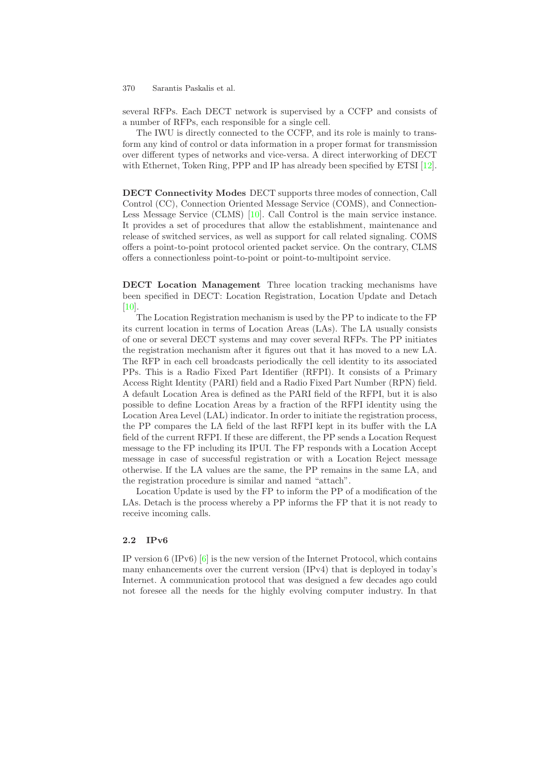<span id="page-2-1"></span>several RFPs. Each DECT network is supervised by a CCFP and consists of a number of RFPs, each responsible for a single cell.

The IWU is directly connected to the CCFP, and its role is mainly to transform any kind of control or data information in a proper format for transmission over different types of networks and vice-versa. A direct interworking of DECT with Ethernet, Token Ring, PPP and IP has already been specified by ETSI [\[12\]](#page-16-1).

<span id="page-2-0"></span>**DECT Connectivity Modes** DECT supports three modes of connection, Call Control (CC), Connection Oriented Message Service (COMS), and Connection-Less Message Service (CLMS) [\[10\]](#page-16-2). Call Control is the main service instance. It provides a set of procedures that allow the establishment, maintenance and release of switched services, as well as support for call related signaling. COMS offers a point-to-point protocol oriented packet service. On the contrary, CLMS offers a connectionless point-to-point or point-to-multipoint service.

**DECT Location Management** Three location tracking mechanisms have been specified in DECT: Location Registration, Location Update and Detach [\[10\]](#page-16-2).

The Location Registration mechanism is used by the PP to indicate to the FP its current location in terms of Location Areas (LAs). The LA usually consists of one or several DECT systems and may cover several RFPs. The PP initiates the registration mechanism after it figures out that it has moved to a new LA. The RFP in each cell broadcasts periodically the cell identity to its associated PPs. This is a Radio Fixed Part Identifier (RFPI). It consists of a Primary Access Right Identity (PARI) field and a Radio Fixed Part Number (RPN) field. A default Location Area is defined as the PARI field of the RFPI, but it is also possible to define Location Areas by a fraction of the RFPI identity using the Location Area Level (LAL) indicator. In order to initiate the registration process, the PP compares the LA field of the last RFPI kept in its buffer with the LA field of the current RFPI. If these are different, the PP sends a Location Request message to the FP including its IPUI. The FP responds with a Location Accept message in case of successful registration or with a Location Reject message otherwise. If the LA values are the same, the PP remains in the same LA, and the registration procedure is similar and named "attach".

Location Update is used by the FP to inform the PP of a modification of the LAs. Detach is the process whereby a PP informs the FP that it is not ready to receive incoming calls.

# **2.2 IPv6**

IP version 6 (IPv6)  $[6]$  is the new version of the Internet Protocol, which contains many enhancements over the current version (IPv4) that is deployed in today's Internet. A communication protocol that was designed a few decades ago could not foresee all the needs for the highly evolving computer industry. In that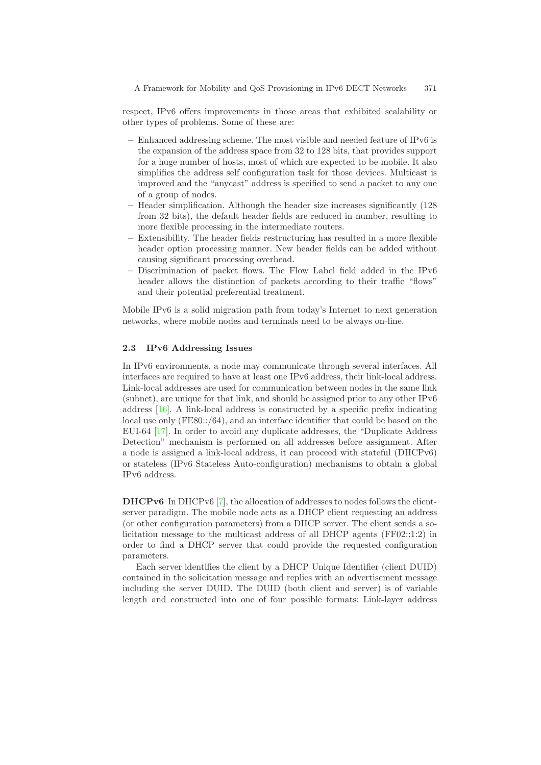<span id="page-3-1"></span><span id="page-3-0"></span>respect, IPv6 offers improvements in those areas that exhibited scalability or other types of problems. Some of these are:

- **–** Enhanced addressing scheme. The most visible and needed feature of IPv6 is the expansion of the address space from 32 to 128 bits, that provides support for a huge number of hosts, most of which are expected to be mobile. It also simplifies the address self configuration task for those devices. Multicast is improved and the "anycast" address is specified to send a packet to any one of a group of nodes.
- **–** Header simplification. Although the header size increases significantly (128 from 32 bits), the default header fields are reduced in number, resulting to more flexible processing in the intermediate routers.
- **–** Extensibility. The header fields restructuring has resulted in a more flexible header option processing manner. New header fields can be added without causing significant processing overhead.
- **–** Discrimination of packet flows. The Flow Label field added in the IPv6 header allows the distinction of packets according to their traffic "flows" and their potential preferential treatment.

Mobile IPv6 is a solid migration path from today's Internet to next generation networks, where mobile nodes and terminals need to be always on-line.

## **2.3 IPv6 Addressing Issues**

In IPv6 environments, a node may communicate through several interfaces. All interfaces are required to have at least one IPv6 address, their link-local address. Link-local addresses are used for communication between nodes in the same link (subnet), are unique for that link, and should be assigned prior to any other IPv6 address  $[16]$ . A link-local address is constructed by a specific prefix indicating local use only (FE80::/64), and an interface identifier that could be based on the EUI-64 [\[17\]](#page-17-2). In order to avoid any duplicate addresses, the "Duplicate Address Detection" mechanism is performed on all addresses before assignment. After a node is assigned a link-local address, it can proceed with stateful (DHCPv6) or stateless (IPv6 Stateless Auto-configuration) mechanisms to obtain a global IPv6 address.

**DHCPv6** In DHCPv6 [\[7\]](#page-16-4), the allocation of addresses to nodes follows the clientserver paradigm. The mobile node acts as a DHCP client requesting an address (or other configuration parameters) from a DHCP server. The client sends a solicitation message to the multicast address of all DHCP agents (FF02::1:2) in order to find a DHCP server that could provide the requested configuration parameters.

Each server identifies the client by a DHCP Unique Identifier (client DUID) contained in the solicitation message and replies with an advertisement message including the server DUID. The DUID (both client and server) is of variable length and constructed into one of four possible formats: Link-layer address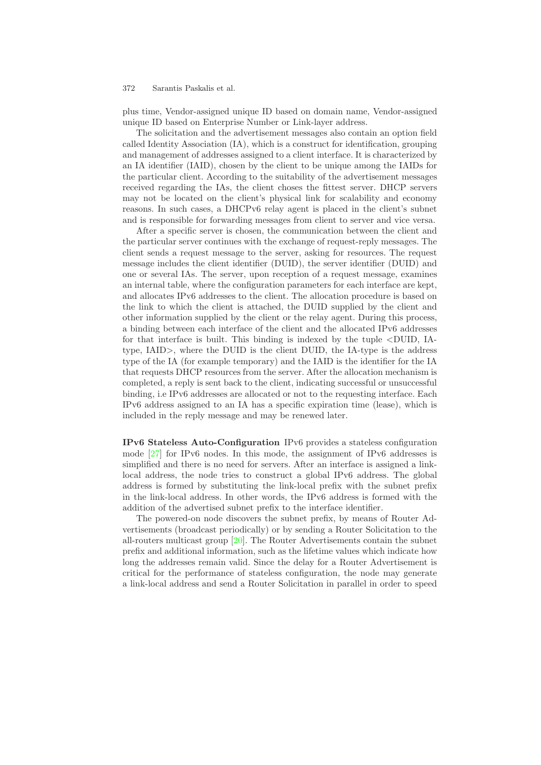<span id="page-4-0"></span>plus time, Vendor-assigned unique ID based on domain name, Vendor-assigned unique ID based on Enterprise Number or Link-layer address.

The solicitation and the advertisement messages also contain an option field called Identity Association (IA), which is a construct for identification, grouping and management of addresses assigned to a client interface. It is characterized by an IA identifier (IAID), chosen by the client to be unique among the IAIDs for the particular client. According to the suitability of the advertisement messages received regarding the IAs, the client choses the fittest server. DHCP servers may not be located on the client's physical link for scalability and economy reasons. In such cases, a DHCPv6 relay agent is placed in the client's subnet and is responsible for forwarding messages from client to server and vice versa.

After a specific server is chosen, the communication between the client and the particular server continues with the exchange of request-reply messages. The client sends a request message to the server, asking for resources. The request message includes the client identifier (DUID), the server identifier (DUID) and one or several IAs. The server, upon reception of a request message, examines an internal table, where the configuration parameters for each interface are kept, and allocates IPv6 addresses to the client. The allocation procedure is based on the link to which the client is attached, the DUID supplied by the client and other information supplied by the client or the relay agent. During this process, a binding between each interface of the client and the allocated IPv6 addresses for that interface is built. This binding is indexed by the tuple *<*DUID, IAtype, IAID*>*, where the DUID is the client DUID, the IA-type is the address type of the IA (for example temporary) and the IAID is the identifier for the IA that requests DHCP resources from the server. After the allocation mechanism is completed, a reply is sent back to the client, indicating successful or unsuccessful binding, i.e IPv6 addresses are allocated or not to the requesting interface. Each IPv6 address assigned to an IA has a specific expiration time (lease), which is included in the reply message and may be renewed later.

**IPv6 Stateless Auto-Configuration** IPv6 provides a stateless configuration mode [\[27\]](#page-17-3) for IPv6 nodes. In this mode, the assignment of IPv6 addresses is simplified and there is no need for servers. After an interface is assigned a linklocal address, the node tries to construct a global IPv6 address. The global address is formed by substituting the link-local prefix with the subnet prefix in the link-local address. In other words, the IPv6 address is formed with the addition of the advertised subnet prefix to the interface identifier.

The powered-on node discovers the subnet prefix, by means of Router Advertisements (broadcast periodically) or by sending a Router Solicitation to the all-routers multicast group [\[20\]](#page-17-4). The Router Advertisements contain the subnet prefixand additional information, such as the lifetime values which indicate how long the addresses remain valid. Since the delay for a Router Advertisement is critical for the performance of stateless configuration, the node may generate a link-local address and send a Router Solicitation in parallel in order to speed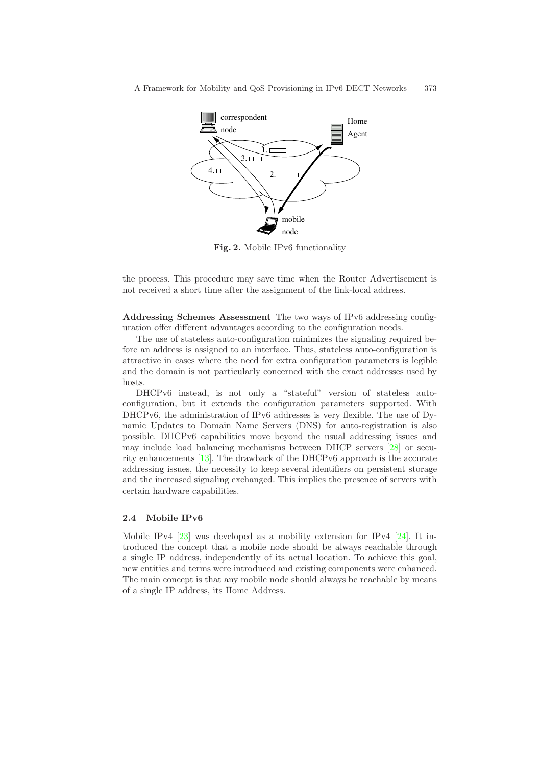<span id="page-5-2"></span><span id="page-5-1"></span><span id="page-5-0"></span>

**Fig. 2.** Mobile IPv6 functionality

the process. This procedure may save time when the Router Advertisement is not received a short time after the assignment of the link-local address.

**Addressing Schemes Assessment** The two ways of IPv6 addressing configuration offer different advantages according to the configuration needs.

The use of stateless auto-configuration minimizes the signaling required before an address is assigned to an interface. Thus, stateless auto-configuration is attractive in cases where the need for extra configuration parameters is legible and the domain is not particularly concerned with the exact addresses used by hosts.

DHCPv6 instead, is not only a "stateful" version of stateless autoconfiguration, but it extends the configuration parameters supported. With DHCPv6, the administration of IPv6 addresses is very flexible. The use of Dynamic Updates to Domain Name Servers (DNS) for auto-registration is also possible. DHCPv6 capabilities move beyond the usual addressing issues and may include load balancing mechanisms between DHCP servers [\[28\]](#page-17-5) or security enhancements [\[13\]](#page-16-5). The drawback of the DHCPv6 approach is the accurate addressing issues, the necessity to keep several identifiers on persistent storage and the increased signaling exchanged. This implies the presence of servers with certain hardware capabilities.

### **2.4 Mobile IPv6**

Mobile IPv4 [\[23\]](#page-17-6) was developed as a mobility extension for IPv4 [\[24\]](#page-17-7). It introduced the concept that a mobile node should be always reachable through a single IP address, independently of its actual location. To achieve this goal, new entities and terms were introduced and existing components were enhanced. The main concept is that any mobile node should always be reachable by means of a single IP address, its Home Address.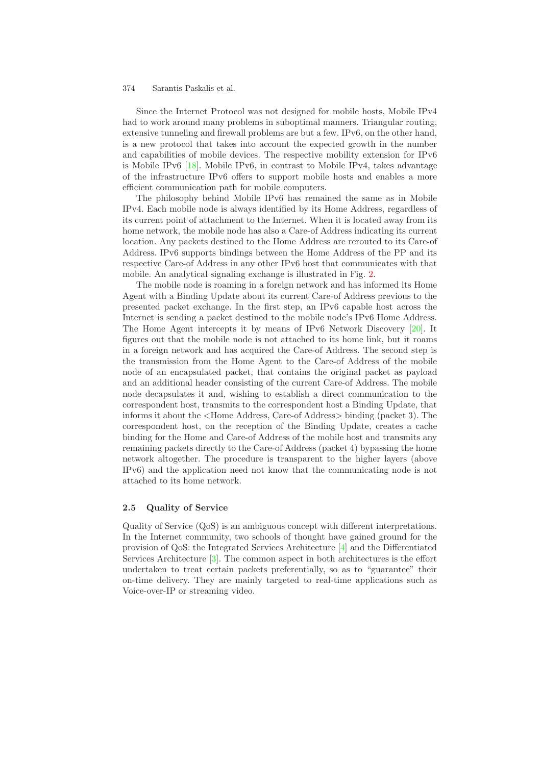<span id="page-6-1"></span><span id="page-6-0"></span>Since the Internet Protocol was not designed for mobile hosts, Mobile IPv4 had to work around many problems in suboptimal manners. Triangular routing, extensive tunneling and firewall problems are but a few. IPv6, on the other hand, is a new protocol that takes into account the expected growth in the number and capabilities of mobile devices. The respective mobility extension for IPv6 is Mobile IPv6 [\[18\]](#page-17-8). Mobile IPv6, in contrast to Mobile IPv4, takes advantage of the infrastructure IPv6 offers to support mobile hosts and enables a more efficient communication path for mobile computers.

The philosophy behind Mobile IPv6 has remained the same as in Mobile IPv4. Each mobile node is always identified by its Home Address, regardless of its current point of attachment to the Internet. When it is located away from its home network, the mobile node has also a Care-of Address indicating its current location. Any packets destined to the Home Address are rerouted to its Care-of Address. IPv6 supports bindings between the Home Address of the PP and its respective Care-of Address in any other IPv6 host that communicates with that mobile. An analytical signaling exchange is illustrated in Fig. [2.](#page-5-0)

The mobile node is roaming in a foreign network and has informed its Home Agent with a Binding Update about its current Care-of Address previous to the presented packet exchange. In the first step, an IPv6 capable host across the Internet is sending a packet destined to the mobile node's IPv6 Home Address. The Home Agent intercepts it by means of IPv6 Network Discovery [\[20\]](#page-17-4). It figures out that the mobile node is not attached to its home link, but it roams in a foreign network and has acquired the Care-of Address. The second step is the transmission from the Home Agent to the Care-of Address of the mobile node of an encapsulated packet, that contains the original packet as payload and an additional header consisting of the current Care-of Address. The mobile node decapsulates it and, wishing to establish a direct communication to the correspondent host, transmits to the correspondent host a Binding Update, that informs it about the *<*Home Address, Care-of Address*>* binding (packet 3). The correspondent host, on the reception of the Binding Update, creates a cache binding for the Home and Care-of Address of the mobile host and transmits any remaining packets directly to the Care-of Address (packet 4) bypassing the home network altogether. The procedure is transparent to the higher layers (above IPv6) and the application need not know that the communicating node is not attached to its home network.

### **2.5 Quality of Service**

Quality of Service (QoS) is an ambiguous concept with different interpretations. In the Internet community, two schools of thought have gained ground for the provision of QoS: the Integrated Services Architecture [\[4\]](#page-16-6) and the Differentiated Services Architecture [\[3\]](#page-16-7). The common aspect in both architectures is the effort undertaken to treat certain packets preferentially, so as to "guarantee" their on-time delivery. They are mainly targeted to real-time applications such as Voice-over-IP or streaming video.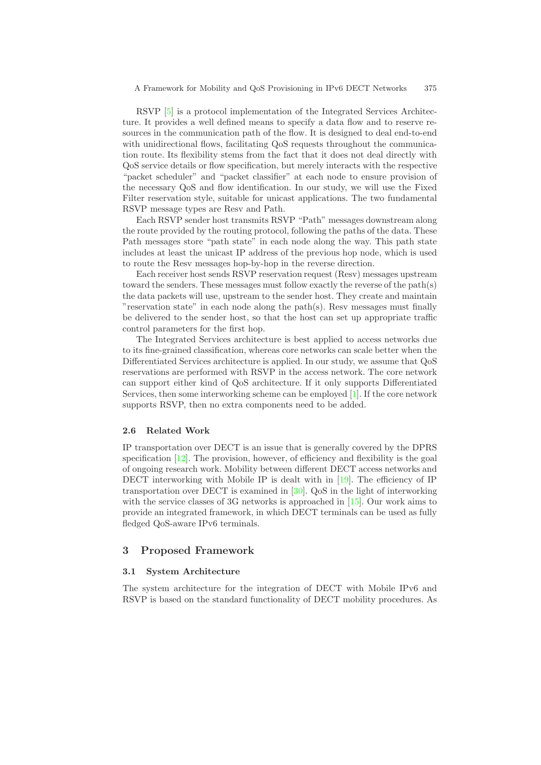<span id="page-7-2"></span><span id="page-7-1"></span>RSVP [\[5\]](#page-16-8) is a protocol implementation of the Integrated Services Architecture. It provides a well defined means to specify a data flow and to reserve resources in the communication path of the flow. It is designed to deal end-to-end with unidirectional flows, facilitating QoS requests throughout the communication route. Its flexibility stems from the fact that it does not deal directly with QoS service details or flow specification, but merely interacts with the respective "packet scheduler" and "packet classifier" at each node to ensure provision of the necessary QoS and flow identification. In our study, we will use the Fixed Filter reservation style, suitable for unicast applications. The two fundamental RSVP message types are Resv and Path.

Each RSVP sender host transmits RSVP "Path" messages downstream along the route provided by the routing protocol, following the paths of the data. These Path messages store "path state" in each node along the way. This path state includes at least the unicast IP address of the previous hop node, which is used to route the Resv messages hop-by-hop in the reverse direction.

Each receiver host sends RSVP reservation request (Resv) messages upstream toward the senders. These messages must follow exactly the reverse of the path(s) the data packets will use, upstream to the sender host. They create and maintain "reservation state" in each node along the path(s). Resv messages must finally be delivered to the sender host, so that the host can set up appropriate traffic control parameters for the first hop.

The Integrated Services architecture is best applied to access networks due to its fine-grained classification, whereas core networks can scale better when the Differentiated Services architecture is applied. In our study, we assume that QoS reservations are performed with RSVP in the access network. The core network can support either kind of QoS architecture. If it only supports Differentiated Services, then some interworking scheme can be employed [\[1\]](#page-16-9). If the core network supports RSVP, then no extra components need to be added.

### **2.6 Related Work**

IP transportation over DECT is an issue that is generally covered by the DPRS specification [\[12\]](#page-16-10). The provision, however, of efficiency and flexibility is the goal of ongoing research work. Mobility between different DECT access networks and DECT interworking with Mobile IP is dealt with in [\[19\]](#page-17-9). The efficiency of IP transportation over DECT is examined in [\[30\]](#page-17-10). QoS in the light of interworking with the service classes of 3G networks is approached in [\[15\]](#page-16-11). Our work aims to provide an integrated framework, in which DECT terminals can be used as fully fledged QoS-aware IPv6 terminals.

# <span id="page-7-0"></span>**3 Proposed Framework**

#### **3.1 System Architecture**

The system architecture for the integration of DECT with Mobile IPv6 and RSVP is based on the standard functionality of DECT mobility procedures. As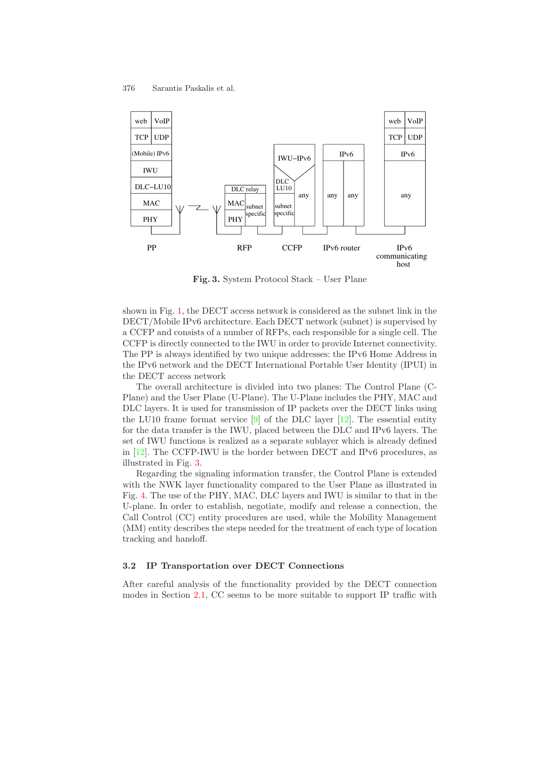<span id="page-8-1"></span><span id="page-8-0"></span>

**Fig. 3.** System Protocol Stack – User Plane

shown in Fig. [1,](#page-1-2) the DECT access network is considered as the subnet link in the DECT/Mobile IPv6 architecture. Each DECT network (subnet) is supervised by a CCFP and consists of a number of RFPs, each responsible for a single cell. The CCFP is directly connected to the IWU in order to provide Internet connectivity. The PP is always identified by two unique addresses: the IPv6 Home Address in the IPv6 network and the DECT International Portable User Identity (IPUI) in the DECT access network

The overall architecture is divided into two planes: The Control Plane (C-Plane) and the User Plane (U-Plane). The U-Plane includes the PHY, MAC and DLC layers. It is used for transmission of IP packets over the DECT links using the LU10 frame format service  $[9]$  of the DLC layer  $[12]$ . The essential entity for the data transfer is the IWU, placed between the DLC and IPv6 layers. The set of IWU functions is realized as a separate sublayer which is already defined in [\[12\]](#page-16-1). The CCFP-IWU is the border between DECT and IPv6 procedures, as illustrated in Fig. [3.](#page-8-0)

Regarding the signaling information transfer, the Control Plane is extended with the NWK layer functionality compared to the User Plane as illustrated in Fig. [4.](#page-9-0) The use of the PHY, MAC, DLC layers and IWU is similar to that in the U-plane. In order to establish, negotiate, modify and release a connection, the Call Control (CC) entity procedures are used, while the Mobility Management (MM) entity describes the steps needed for the treatment of each type of location tracking and handoff.

#### **3.2 IP Transportation over DECT Connections**

After careful analysis of the functionality provided by the DECT connection modes in Section [2.1,](#page-2-0) CC seems to be more suitable to support IP traffic with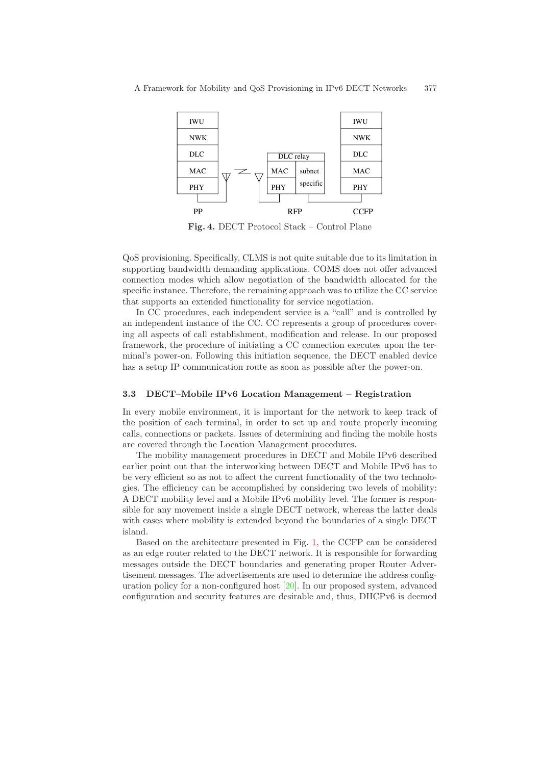<span id="page-9-1"></span><span id="page-9-0"></span>

**Fig. 4.** DECT Protocol Stack – Control Plane

QoS provisioning. Specifically, CLMS is not quite suitable due to its limitation in supporting bandwidth demanding applications. COMS does not offer advanced connection modes which allow negotiation of the bandwidth allocated for the specific instance. Therefore, the remaining approach was to utilize the CC service that supports an extended functionality for service negotiation.

In CC procedures, each independent service is a "call" and is controlled by an independent instance of the CC. CC represents a group of procedures covering all aspects of call establishment, modification and release. In our proposed framework, the procedure of initiating a CC connection executes upon the terminal's power-on. Following this initiation sequence, the DECT enabled device has a setup IP communication route as soon as possible after the power-on.

#### **3.3 DECT–Mobile IPv6 Location Management – Registration**

In every mobile environment, it is important for the network to keep track of the position of each terminal, in order to set up and route properly incoming calls, connections or packets. Issues of determining and finding the mobile hosts are covered through the Location Management procedures.

The mobility management procedures in DECT and Mobile IPv6 described earlier point out that the interworking between DECT and Mobile IPv6 has to be very efficient so as not to affect the current functionality of the two technologies. The efficiency can be accomplished by considering two levels of mobility: A DECT mobility level and a Mobile IPv6 mobility level. The former is responsible for any movement inside a single DECT network, whereas the latter deals with cases where mobility is extended beyond the boundaries of a single DECT island.

Based on the architecture presented in Fig. [1,](#page-1-1) the CCFP can be considered as an edge router related to the DECT network. It is responsible for forwarding messages outside the DECT boundaries and generating proper Router Advertisement messages. The advertisements are used to determine the address configuration policy for a non-configured host [\[20\]](#page-17-11). In our proposed system, advanced configuration and security features are desirable and, thus, DHCPv6 is deemed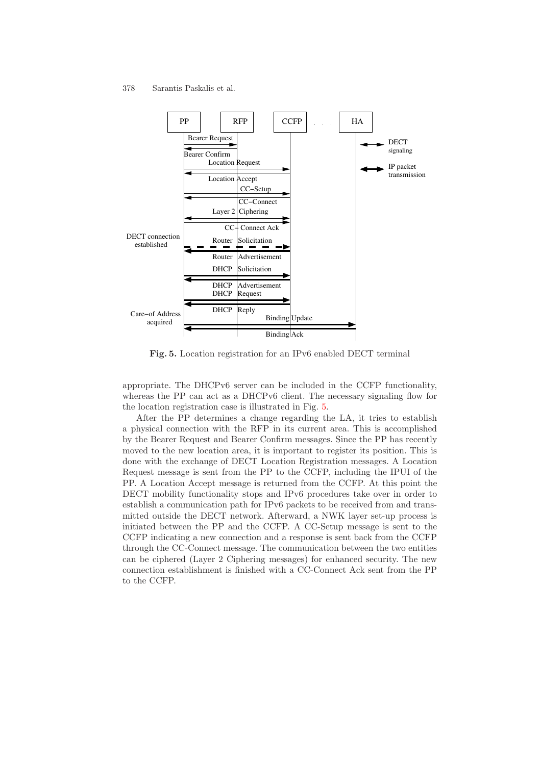<span id="page-10-0"></span>

**Fig. 5.** Location registration for an IPv6 enabled DECT terminal

appropriate. The DHCPv6 server can be included in the CCFP functionality, whereas the PP can act as a DHCPv6 client. The necessary signaling flow for the location registration case is illustrated in Fig. [5.](#page-10-0)

After the PP determines a change regarding the LA, it tries to establish a physical connection with the RFP in its current area. This is accomplished by the Bearer Request and Bearer Confirm messages. Since the PP has recently moved to the new location area, it is important to register its position. This is done with the exchange of DECT Location Registration messages. A Location Request message is sent from the PP to the CCFP, including the IPUI of the PP. A Location Accept message is returned from the CCFP. At this point the DECT mobility functionality stops and IPv6 procedures take over in order to establish a communication path for IPv6 packets to be received from and transmitted outside the DECT network. Afterward, a NWK layer set-up process is initiated between the PP and the CCFP. A CC-Setup message is sent to the CCFP indicating a new connection and a response is sent back from the CCFP through the CC-Connect message. The communication between the two entities can be ciphered (Layer 2 Ciphering messages) for enhanced security. The new connection establishment is finished with a CC-Connect Ack sent from the PP to the CCFP.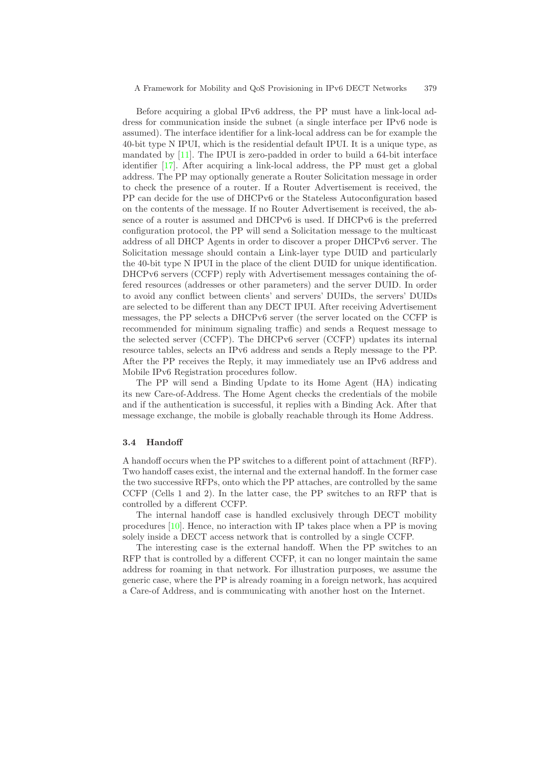<span id="page-11-2"></span><span id="page-11-1"></span>Before acquiring a global IPv6 address, the PP must have a link-local address for communication inside the subnet (a single interface per IPv6 node is assumed). The interface identifier for a link-local address can be for example the 40-bit type N IPUI, which is the residential default IPUI. It is a unique type, as mandated by [\[11\]](#page-16-13). The IPUI is zero-padded in order to build a 64-bit interface identifier [\[17\]](#page-17-2). After acquiring a link-local address, the PP must get a global address. The PP may optionally generate a Router Solicitation message in order to check the presence of a router. If a Router Advertisement is received, the PP can decide for the use of DHCPv6 or the Stateless Autoconfiguration based on the contents of the message. If no Router Advertisement is received, the absence of a router is assumed and DHCPv6 is used. If DHCPv6 is the preferred configuration protocol, the PP will send a Solicitation message to the multicast address of all DHCP Agents in order to discover a proper DHCPv6 server. The Solicitation message should contain a Link-layer type DUID and particularly the 40-bit type N IPUI in the place of the client DUID for unique identification. DHCPv6 servers (CCFP) reply with Advertisement messages containing the offered resources (addresses or other parameters) and the server DUID. In order to avoid any conflict between clients' and servers' DUIDs, the servers' DUIDs are selected to be different than any DECT IPUI. After receiving Advertisement messages, the PP selects a DHCPv6 server (the server located on the CCFP is recommended for minimum signaling traffic) and sends a Request message to the selected server (CCFP). The DHCPv6 server (CCFP) updates its internal resource tables, selects an IPv6 address and sends a Reply message to the PP. After the PP receives the Reply, it may immediately use an IPv6 address and Mobile IPv6 Registration procedures follow.

The PP will send a Binding Update to its Home Agent (HA) indicating its new Care-of-Address. The Home Agent checks the credentials of the mobile and if the authentication is successful, it replies with a Binding Ack. After that message exchange, the mobile is globally reachable through its Home Address.

#### <span id="page-11-0"></span>**3.4 Handoff**

A handoff occurs when the PP switches to a different point of attachment (RFP). Two handoff cases exist, the internal and the external handoff. In the former case the two successive RFPs, onto which the PP attaches, are controlled by the same CCFP (Cells 1 and 2). In the latter case, the PP switches to an RFP that is controlled by a different CCFP.

The internal handoff case is handled exclusively through DECT mobility procedures [\[10\]](#page-16-14). Hence, no interaction with IP takes place when a PP is moving solely inside a DECT access network that is controlled by a single CCFP.

The interesting case is the external handoff. When the PP switches to an RFP that is controlled by a different CCFP, it can no longer maintain the same address for roaming in that network. For illustration purposes, we assume the generic case, where the PP is already roaming in a foreign network, has acquired a Care-of Address, and is communicating with another host on the Internet.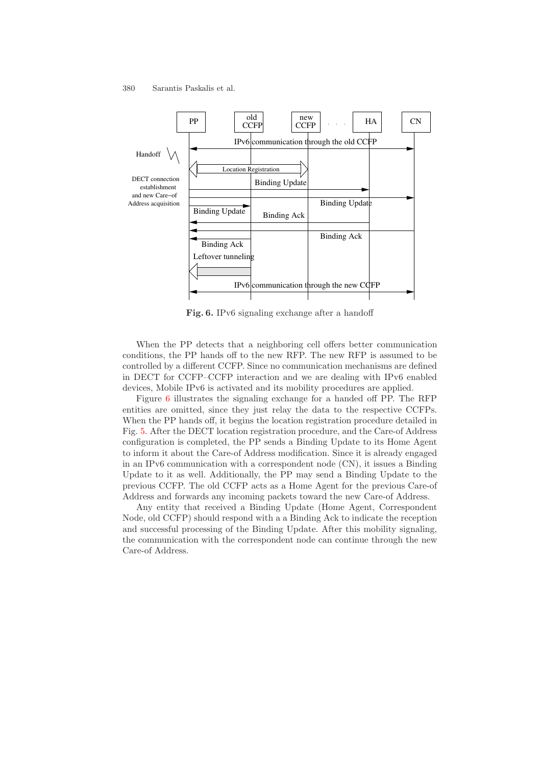<span id="page-12-0"></span>

**Fig. 6.** IPv6 signaling exchange after a handoff

When the PP detects that a neighboring cell offers better communication conditions, the PP hands off to the new RFP. The new RFP is assumed to be controlled by a different CCFP. Since no communication mechanisms are defined in DECT for CCFP–CCFP interaction and we are dealing with IPv6 enabled devices, Mobile IPv6 is activated and its mobility procedures are applied.

Figure [6](#page-12-0) illustrates the signaling exchange for a handed off PP. The RFP entities are omitted, since they just relay the data to the respective CCFPs. When the PP hands off, it begins the location registration procedure detailed in Fig. [5.](#page-10-0) After the DECT location registration procedure, and the Care-of Address configuration is completed, the PP sends a Binding Update to its Home Agent to inform it about the Care-of Address modification. Since it is already engaged in an IPv6 communication with a correspondent node (CN), it issues a Binding Update to it as well. Additionally, the PP may send a Binding Update to the previous CCFP. The old CCFP acts as a Home Agent for the previous Care-of Address and forwards any incoming packets toward the new Care-of Address.

Any entity that received a Binding Update (Home Agent, Correspondent Node, old CCFP) should respond with a a Binding Ack to indicate the reception and successful processing of the Binding Update. After this mobility signaling, the communication with the correspondent node can continue through the new Care-of Address.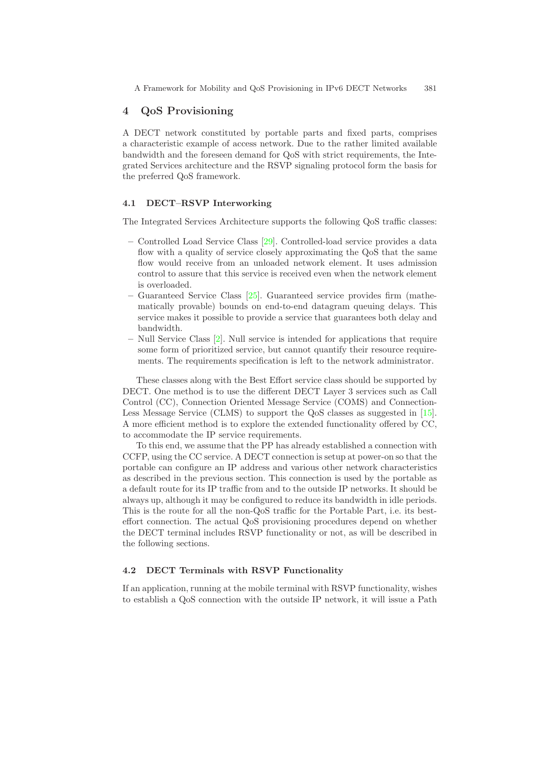# <span id="page-13-2"></span><span id="page-13-1"></span><span id="page-13-0"></span>**4 QoS Provisioning**

A DECT network constituted by portable parts and fixed parts, comprises a characteristic example of access network. Due to the rather limited available bandwidth and the foreseen demand for QoS with strict requirements, the Integrated Services architecture and the RSVP signaling protocol form the basis for the preferred QoS framework.

#### **4.1 DECT–RSVP Interworking**

The Integrated Services Architecture supports the following QoS traffic classes:

- **–** Controlled Load Service Class [\[29\]](#page-17-12). Controlled-load service provides a data flow with a quality of service closely approximating the QoS that the same flow would receive from an unloaded network element. It uses admission control to assure that this service is received even when the network element is overloaded.
- **–** Guaranteed Service Class [\[25\]](#page-17-13). Guaranteed service provides firm (mathematically provable) bounds on end-to-end datagram queuing delays. This service makes it possible to provide a service that guarantees both delay and bandwidth.
- **–** Null Service Class [\[2\]](#page-16-15). Null service is intended for applications that require some form of prioritized service, but cannot quantify their resource requirements. The requirements specification is left to the network administrator.

These classes along with the Best Effort service class should be supported by DECT. One method is to use the different DECT Layer 3 services such as Call Control (CC), Connection Oriented Message Service (COMS) and Connection-Less Message Service (CLMS) to support the QoS classes as suggested in [\[15\]](#page-16-11). A more efficient method is to explore the extended functionality offered by CC, to accommodate the IP service requirements.

To this end, we assume that the PP has already established a connection with CCFP, using the CC service. A DECT connection is setup at power-on so that the portable can configure an IP address and various other network characteristics as described in the previous section. This connection is used by the portable as a default route for its IP traffic from and to the outside IP networks. It should be always up, although it may be configured to reduce its bandwidth in idle periods. This is the route for all the non-QoS traffic for the Portable Part, i.e. its besteffort connection. The actual QoS provisioning procedures depend on whether the DECT terminal includes RSVP functionality or not, as will be described in the following sections.

#### **4.2 DECT Terminals with RSVP Functionality**

If an application, running at the mobile terminal with RSVP functionality, wishes to establish a QoS connection with the outside IP network, it will issue a Path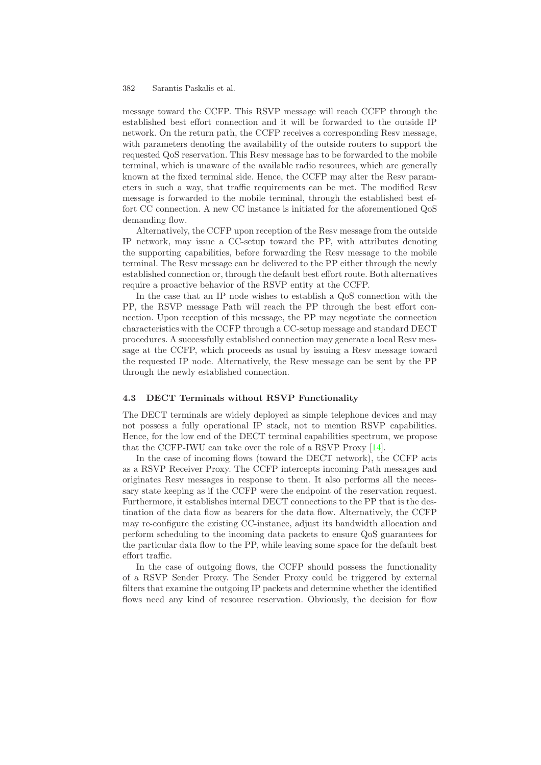<span id="page-14-0"></span>message toward the CCFP. This RSVP message will reach CCFP through the established best effort connection and it will be forwarded to the outside IP network. On the return path, the CCFP receives a corresponding Resv message, with parameters denoting the availability of the outside routers to support the requested QoS reservation. This Resv message has to be forwarded to the mobile terminal, which is unaware of the available radio resources, which are generally known at the fixed terminal side. Hence, the CCFP may alter the Resv parameters in such a way, that traffic requirements can be met. The modified Resv message is forwarded to the mobile terminal, through the established best effort CC connection. A new CC instance is initiated for the aforementioned QoS demanding flow.

Alternatively, the CCFP upon reception of the Resv message from the outside IP network, may issue a CC-setup toward the PP, with attributes denoting the supporting capabilities, before forwarding the Resv message to the mobile terminal. The Resv message can be delivered to the PP either through the newly established connection or, through the default best effort route. Both alternatives require a proactive behavior of the RSVP entity at the CCFP.

In the case that an IP node wishes to establish a QoS connection with the PP, the RSVP message Path will reach the PP through the best effort connection. Upon reception of this message, the PP may negotiate the connection characteristics with the CCFP through a CC-setup message and standard DECT procedures. A successfully established connection may generate a local Resv message at the CCFP, which proceeds as usual by issuing a Resv message toward the requested IP node. Alternatively, the Resv message can be sent by the PP through the newly established connection.

#### **4.3 DECT Terminals without RSVP Functionality**

The DECT terminals are widely deployed as simple telephone devices and may not possess a fully operational IP stack, not to mention RSVP capabilities. Hence, for the low end of the DECT terminal capabilities spectrum, we propose that the CCFP-IWU can take over the role of a RSVP Proxy [\[14\]](#page-16-16).

In the case of incoming flows (toward the DECT network), the CCFP acts as a RSVP Receiver Proxy. The CCFP intercepts incoming Path messages and originates Resv messages in response to them. It also performs all the necessary state keeping as if the CCFP were the endpoint of the reservation request. Furthermore, it establishes internal DECT connections to the PP that is the destination of the data flow as bearers for the data flow. Alternatively, the CCFP may re-configure the existing CC-instance, adjust its bandwidth allocation and perform scheduling to the incoming data packets to ensure QoS guarantees for the particular data flow to the PP, while leaving some space for the default best effort traffic.

In the case of outgoing flows, the CCFP should possess the functionality of a RSVP Sender Proxy. The Sender Proxy could be triggered by external filters that examine the outgoing IP packets and determine whether the identified flows need any kind of resource reservation. Obviously, the decision for flow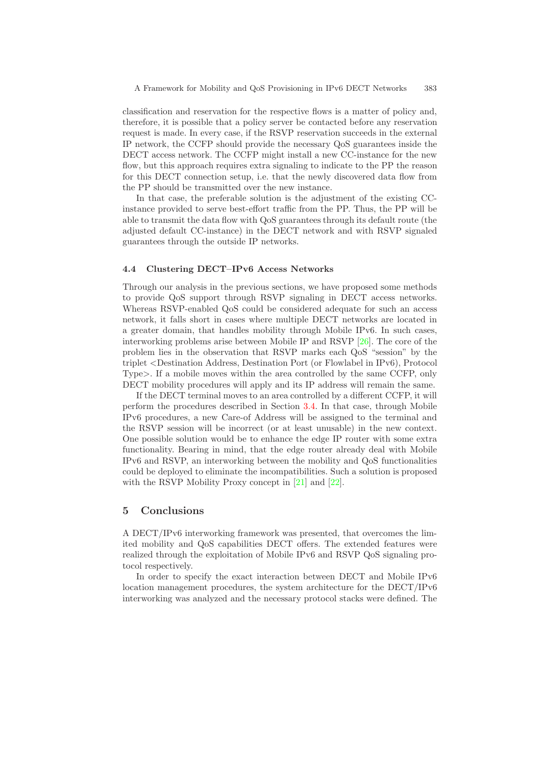<span id="page-15-1"></span>classification and reservation for the respective flows is a matter of policy and, therefore, it is possible that a policy server be contacted before any reservation request is made. In every case, if the RSVP reservation succeeds in the external IP network, the CCFP should provide the necessary QoS guarantees inside the DECT access network. The CCFP might install a new CC-instance for the new flow, but this approach requires extra signaling to indicate to the PP the reason for this DECT connection setup, i.e. that the newly discovered data flow from the PP should be transmitted over the new instance.

In that case, the preferable solution is the adjustment of the existing CCinstance provided to serve best-effort traffic from the PP. Thus, the PP will be able to transmit the data flow with QoS guarantees through its default route (the adjusted default CC-instance) in the DECT network and with RSVP signaled guarantees through the outside IP networks.

#### **4.4 Clustering DECT–IPv6 Access Networks**

Through our analysis in the previous sections, we have proposed some methods to provide QoS support through RSVP signaling in DECT access networks. Whereas RSVP-enabled QoS could be considered adequate for such an access network, it falls short in cases where multiple DECT networks are located in a greater domain, that handles mobility through Mobile IPv6. In such cases, interworking problems arise between Mobile IP and RSVP [\[26\]](#page-17-14). The core of the problem lies in the observation that RSVP marks each QoS "session" by the triplet *<*Destination Address, Destination Port (or Flowlabel in IPv6), Protocol Type*>*. If a mobile moves within the area controlled by the same CCFP, only DECT mobility procedures will apply and its IP address will remain the same.

If the DECT terminal moves to an area controlled by a different CCFP, it will perform the procedures described in Section [3.4.](#page-11-0) In that case, through Mobile IPv6 procedures, a new Care-of Address will be assigned to the terminal and the RSVP session will be incorrect (or at least unusable) in the new context. One possible solution would be to enhance the edge IP router with some extra functionality. Bearing in mind, that the edge router already deal with Mobile IPv6 and RSVP, an interworking between the mobility and QoS functionalities could be deployed to eliminate the incompatibilities. Such a solution is proposed with the RSVP Mobility Proxy concept in [\[21\]](#page-17-15) and [\[22\]](#page-17-16).

# <span id="page-15-0"></span>**5 Conclusions**

A DECT/IPv6 interworking framework was presented, that overcomes the limited mobility and QoS capabilities DECT offers. The extended features were realized through the exploitation of Mobile IPv6 and RSVP QoS signaling protocol respectively.

In order to specify the exact interaction between DECT and Mobile IPv6 location management procedures, the system architecture for the DECT/IPv6 interworking was analyzed and the necessary protocol stacks were defined. The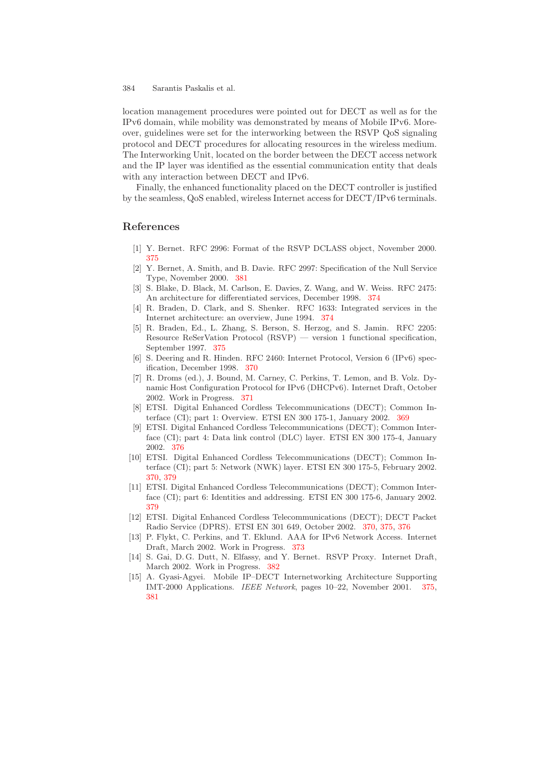location management procedures were pointed out for DECT as well as for the IPv6 domain, while mobility was demonstrated by means of Mobile IPv6. Moreover, guidelines were set for the interworking between the RSVP QoS signaling protocol and DECT procedures for allocating resources in the wireless medium. The Interworking Unit, located on the border between the DECT access network and the IP layer was identified as the essential communication entity that deals with any interaction between DECT and IPv6.

Finally, the enhanced functionality placed on the DECT controller is justified by the seamless, QoS enabled, wireless Internet access for DECT/IPv6 terminals.

# <span id="page-16-15"></span><span id="page-16-9"></span><span id="page-16-7"></span>**References**

- [1] Y. Bernet. RFC 2996: Format of the RSVP DCLASS object, November 2000. [375](#page-7-1)
- [2] Y. Bernet, A. Smith, and B. Davie. RFC 2997: Specification of the Null Service Type, November 2000. [381](#page-13-1)
- <span id="page-16-6"></span>[3] S. Blake, D. Black, M. Carlson, E. Davies, Z. Wang, and W. Weiss. RFC 2475: An architecture for differentiated services, December 1998. [374](#page-6-0)
- <span id="page-16-8"></span>[4] R. Braden, D. Clark, and S. Shenker. RFC 1633: Integrated services in the Internet architecture: an overview, June 1994. [374](#page-6-0)
- <span id="page-16-3"></span>[5] R. Braden, Ed., L. Zhang, S. Berson, S. Herzog, and S. Jamin. RFC 2205: Resource ReSerVation Protocol (RSVP) — version 1 functional specification, September 1997. [375](#page-7-1)
- <span id="page-16-4"></span>[6] S. Deering and R. Hinden. RFC 2460: Internet Protocol, Version 6 (IPv6) specification, December 1998. [370](#page-2-1)
- <span id="page-16-0"></span>[7] R. Droms (ed.), J. Bound, M. Carney, C. Perkins, T. Lemon, and B. Volz. Dynamic Host Configuration Protocol for IPv6 (DHCPv6). Internet Draft, October 2002. Work in Progress. [371](#page-3-0)
- <span id="page-16-12"></span>[8] ETSI. Digital Enhanced Cordless Telecommunications (DECT); Common Interface (CI); part 1: Overview. ETSI EN 300 175-1, January 2002. [369](#page-1-3)
- <span id="page-16-14"></span><span id="page-16-2"></span>[9] ETSI. Digital Enhanced Cordless Telecommunications (DECT); Common Interface (CI); part 4: Data link control (DLC) layer. ETSI EN 300 175-4, January 2002. [376](#page-8-1)
- <span id="page-16-13"></span>[10] ETSI. Digital Enhanced Cordless Telecommunications (DECT); Common Interface (CI); part 5: Network (NWK) layer. ETSI EN 300 175-5, February 2002. [370,](#page-2-1) [379](#page-11-1)
- <span id="page-16-10"></span><span id="page-16-1"></span>[11] ETSI. Digital Enhanced Cordless Telecommunications (DECT); Common Interface (CI); part 6: Identities and addressing. ETSI EN 300 175-6, January 2002. [379](#page-11-1)
- <span id="page-16-5"></span>[12] ETSI. Digital Enhanced Cordless Telecommunications (DECT); DECT Packet Radio Service (DPRS). ETSI EN 301 649, October 2002. [370,](#page-2-1) [375,](#page-7-1) [376](#page-8-1)
- <span id="page-16-16"></span>[13] P. Flykt, C. Perkins, and T. Eklund. AAA for IPv6 Network Access. Internet Draft, March 2002. Work in Progress. [373](#page-5-1)
- <span id="page-16-11"></span>[14] S. Gai, D. G. Dutt, N. Elfassy, and Y. Bernet. RSVP Proxy. Internet Draft, March 2002. Work in Progress. [382](#page-14-0)
- [15] A. Gyasi-Agyei. Mobile IP–DECT Internetworking Architecture Supporting IMT-2000 Applications. *IEEE Network*, pages 10–22, November 2001. [375,](#page-7-1) [381](#page-13-1)